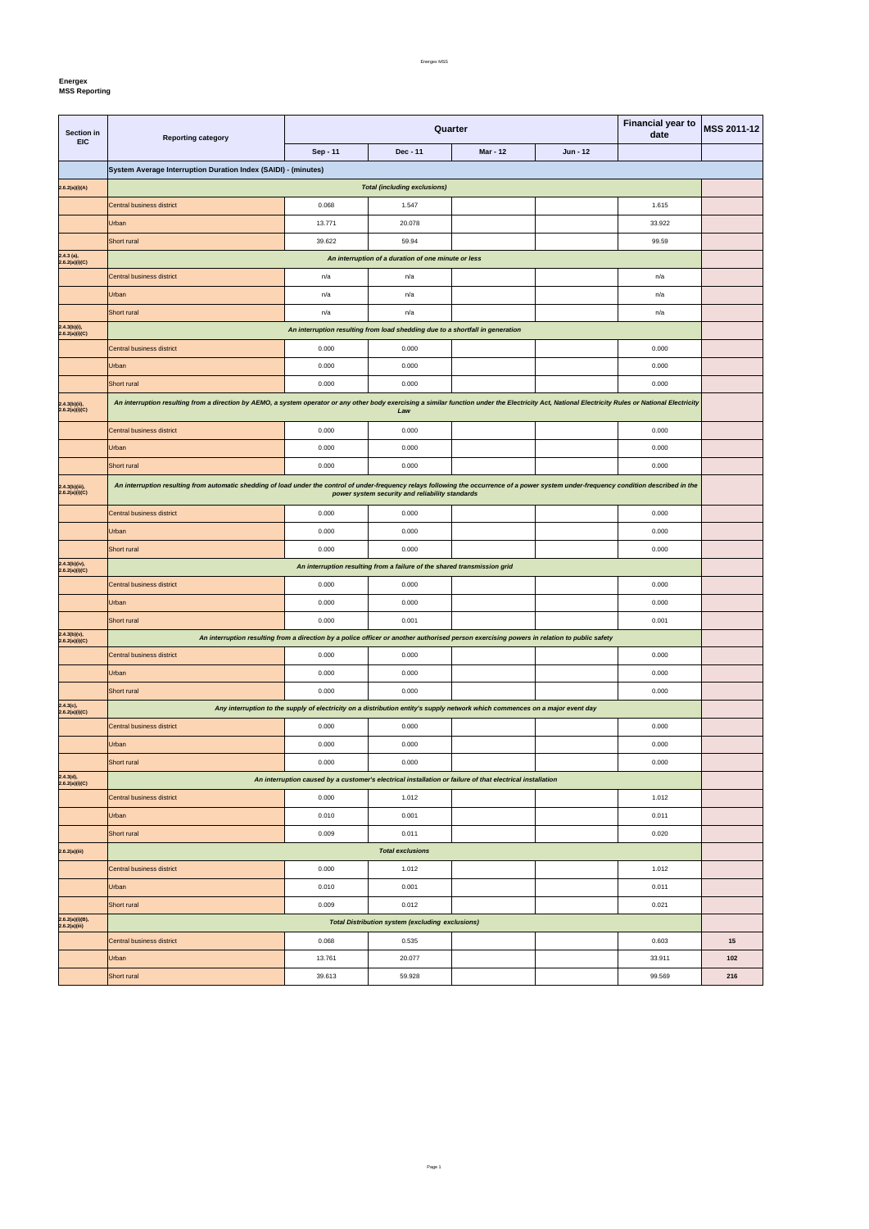**Energex**

 $\mathbf{r}$ 

| Section in                          | <b>Reporting category</b>                                                                                                                                                                                                                      |          | Quarter                                                                                                                      | <b>Financial year to</b><br>date | <b>MSS 2011-12</b> |        |  |
|-------------------------------------|------------------------------------------------------------------------------------------------------------------------------------------------------------------------------------------------------------------------------------------------|----------|------------------------------------------------------------------------------------------------------------------------------|----------------------------------|--------------------|--------|--|
| <b>EIC</b>                          |                                                                                                                                                                                                                                                | Sep - 11 | Dec - 11                                                                                                                     | <b>Mar - 12</b>                  | $Jun - 12$         |        |  |
|                                     | System Average Interruption Duration Index (SAIDI) - (minutes)                                                                                                                                                                                 |          |                                                                                                                              |                                  |                    |        |  |
| 2.6.2(a)(i)(A)                      | <b>Total (including exclusions)</b>                                                                                                                                                                                                            |          |                                                                                                                              |                                  |                    |        |  |
|                                     | Central business district                                                                                                                                                                                                                      | 0.068    | 1.547                                                                                                                        |                                  |                    | 1.615  |  |
|                                     | Urban                                                                                                                                                                                                                                          | 13.771   | 20.078                                                                                                                       |                                  |                    | 33.922 |  |
|                                     | Short rural                                                                                                                                                                                                                                    | 39.622   | 59.94                                                                                                                        |                                  |                    | 99.59  |  |
| $2.4.3$ (a),<br>2.6.2(a)(i)(C)      |                                                                                                                                                                                                                                                |          | An interruption of a duration of one minute or less                                                                          |                                  |                    |        |  |
|                                     | Central business district                                                                                                                                                                                                                      | n/a      | n/a                                                                                                                          |                                  |                    | n/a    |  |
|                                     | Urban                                                                                                                                                                                                                                          | n/a      | n/a                                                                                                                          |                                  |                    | n/a    |  |
|                                     | Short rural                                                                                                                                                                                                                                    | n/a      | n/a                                                                                                                          |                                  |                    | n/a    |  |
| $2.4.3(b)(i),$<br>2.6.2(a)(i)(C)    |                                                                                                                                                                                                                                                |          | An interruption resulting from load shedding due to a shortfall in generation                                                |                                  |                    |        |  |
|                                     | Central business district                                                                                                                                                                                                                      | 0.000    | 0.000                                                                                                                        |                                  |                    | 0.000  |  |
|                                     | Urban                                                                                                                                                                                                                                          | 0.000    | 0.000                                                                                                                        |                                  |                    | 0.000  |  |
|                                     | Short rural                                                                                                                                                                                                                                    | 0.000    | 0.000                                                                                                                        |                                  |                    | 0.000  |  |
| $2.4.3(b)(ii)$ ,<br>2.6.2(a)(i)(C)  | An interruption resulting from a direction by AEMO, a system operator or any other body exercising a similar function under the Electricity Act, National Electricity Rules or National Electricity                                            |          | Law                                                                                                                          |                                  |                    |        |  |
|                                     | Central business district                                                                                                                                                                                                                      | 0.000    | 0.000                                                                                                                        |                                  |                    | 0.000  |  |
|                                     | Urban                                                                                                                                                                                                                                          | 0.000    | 0.000                                                                                                                        |                                  |                    | 0.000  |  |
|                                     | Short rural                                                                                                                                                                                                                                    | 0.000    | 0.000                                                                                                                        |                                  |                    | 0.000  |  |
| 2.4.3(b)(iii),<br>2.6.2(a)(i)(C)    | An interruption resulting from automatic shedding of load under the control of under-frequency relays following the occurrence of a power system under-frequency condition described in the<br>power system security and reliability standards |          |                                                                                                                              |                                  |                    |        |  |
|                                     | Central business district                                                                                                                                                                                                                      | 0.000    | 0.000                                                                                                                        |                                  |                    | 0.000  |  |
|                                     | Urban                                                                                                                                                                                                                                          | 0.000    | 0.000                                                                                                                        |                                  |                    | 0.000  |  |
|                                     | Short rural                                                                                                                                                                                                                                    | 0.000    | 0.000                                                                                                                        |                                  |                    | 0.000  |  |
| $2.4.3(b)(iv),$<br>$2.6.2(a)(i)(C)$ |                                                                                                                                                                                                                                                |          | An interruption resulting from a failure of the shared transmission grid                                                     |                                  |                    |        |  |
|                                     | Central business district                                                                                                                                                                                                                      | 0.000    | 0.000                                                                                                                        |                                  |                    | 0.000  |  |
|                                     | <b>Urban</b>                                                                                                                                                                                                                                   | 0.000    | 0.000                                                                                                                        |                                  |                    | 0.000  |  |
|                                     | Short rural                                                                                                                                                                                                                                    | 0.000    | 0.001                                                                                                                        |                                  |                    | 0.001  |  |
| $2.4.3(b)(v),$<br>2.6.2(a)(i)(C)    | An interruption resulting from a direction by a police officer or another authorised person exercising powers in relation to public safety                                                                                                     |          |                                                                                                                              |                                  |                    |        |  |
|                                     | Central business district                                                                                                                                                                                                                      | 0.000    | 0.000                                                                                                                        |                                  |                    | 0.000  |  |
|                                     | Urban                                                                                                                                                                                                                                          | 0.000    | 0.000                                                                                                                        |                                  |                    | 0.000  |  |
|                                     | Short rural                                                                                                                                                                                                                                    | 0.000    | 0.000                                                                                                                        |                                  |                    | 0.000  |  |
| 2.4.3(c),<br>2.6.2(a)(i)(C)         |                                                                                                                                                                                                                                                |          | Any interruption to the supply of electricity on a distribution entity's supply network which commences on a major event day |                                  |                    |        |  |
|                                     | Central business district                                                                                                                                                                                                                      | 0.000    | 0.000                                                                                                                        |                                  |                    | 0.000  |  |
|                                     | Urban                                                                                                                                                                                                                                          | 0.000    | 0.000                                                                                                                        |                                  |                    | 0.000  |  |
|                                     | Short rural                                                                                                                                                                                                                                    | 0.000    | 0.000                                                                                                                        |                                  |                    | 0.000  |  |
| 2.4.3(d),<br>2.6.2(a)(i)(C)         |                                                                                                                                                                                                                                                |          | An interruption caused by a customer's electrical installation or failure of that electrical installation                    |                                  |                    |        |  |
|                                     | Central business district                                                                                                                                                                                                                      | 0.000    | 1.012                                                                                                                        |                                  |                    | 1.012  |  |
|                                     | Urban                                                                                                                                                                                                                                          | 0.010    | 0.001                                                                                                                        |                                  |                    | 0.011  |  |
|                                     | Short rural                                                                                                                                                                                                                                    | 0.009    | 0.011                                                                                                                        |                                  |                    | 0.020  |  |
| 2.6.2(a)(iii)                       |                                                                                                                                                                                                                                                |          | <b>Total exclusions</b>                                                                                                      |                                  |                    |        |  |
|                                     | Central business district                                                                                                                                                                                                                      | 0.000    | 1.012                                                                                                                        |                                  |                    | 1.012  |  |
|                                     | Urban                                                                                                                                                                                                                                          | 0.010    | 0.001                                                                                                                        |                                  |                    | 0.011  |  |
|                                     | Short rural                                                                                                                                                                                                                                    | 0.009    | 0.012                                                                                                                        |                                  |                    | 0.021  |  |
| 2.6.2(a)(i)(B),<br>2.6.2(a)(iii)    |                                                                                                                                                                                                                                                |          | <b>Total Distribution system (excluding exclusions)</b>                                                                      |                                  |                    |        |  |

| $\cdots$<br>Central business district | 0.068  | 0.535  | 0.603  | <b>.</b> |
|---------------------------------------|--------|--------|--------|----------|
| Urban                                 | 13.761 | 20.077 | 33.911 | 102      |
| Short rural                           | 39.613 | 59.928 | 99.569 | 216      |

Page 1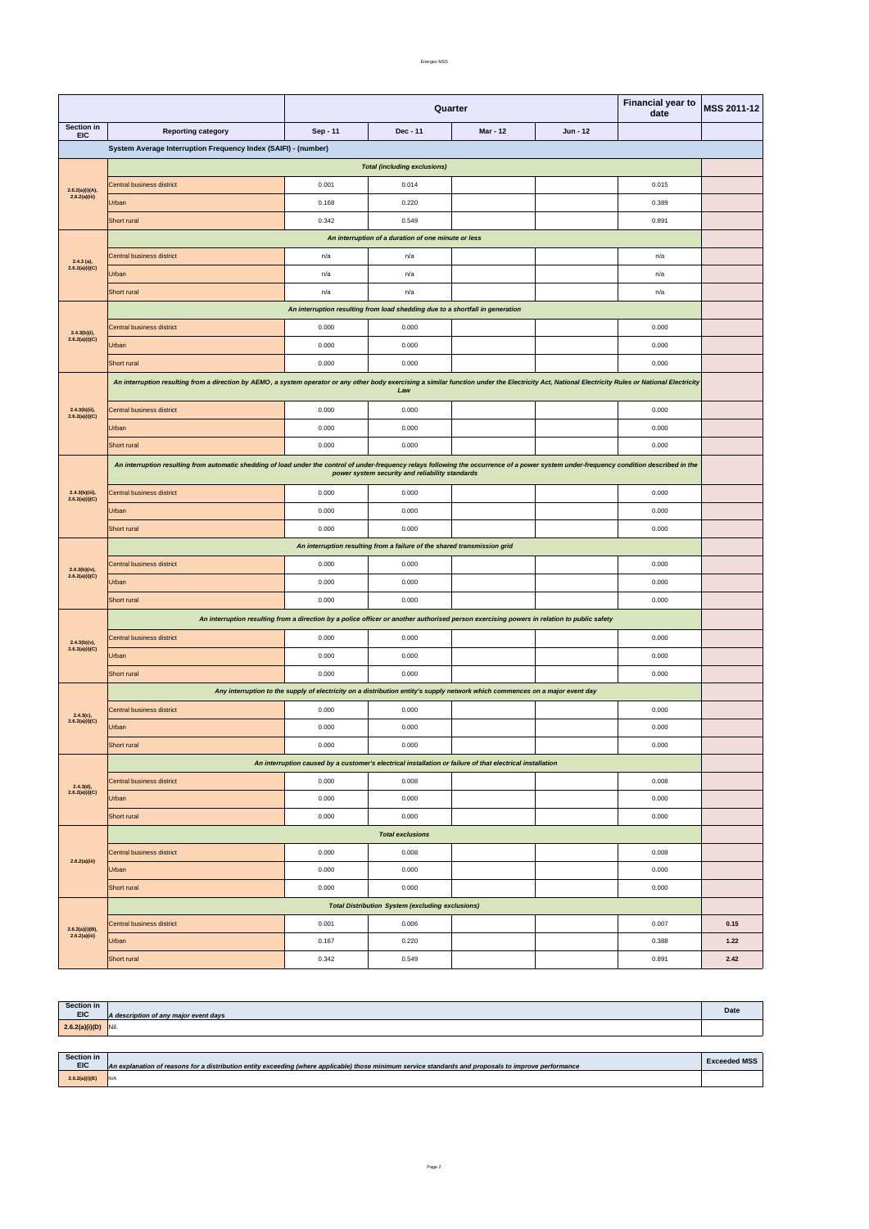Energex MSS

| $2.6.2(a)(i)(B),$<br>$2.6.2(a)(iii)$ | Urban<br>Short rural | 0.167<br>0.342 | 0.220<br>0.549 | 0.388<br>0.891 | 1.22<br>2.42 |
|--------------------------------------|----------------------|----------------|----------------|----------------|--------------|
|                                      |                      |                |                |                |              |

|                                     |                                                                                                                                                                                                                                                | <b>Financial year to</b><br>Quarter<br>date                                                                                  |                                                                               |                 |            | MSS 2011-12 |      |
|-------------------------------------|------------------------------------------------------------------------------------------------------------------------------------------------------------------------------------------------------------------------------------------------|------------------------------------------------------------------------------------------------------------------------------|-------------------------------------------------------------------------------|-----------------|------------|-------------|------|
| Section in<br><b>EIC</b>            | <b>Reporting category</b>                                                                                                                                                                                                                      | Sep - 11                                                                                                                     | Dec - 11                                                                      | <b>Mar - 12</b> | $Jun - 12$ |             |      |
|                                     | System Average Interruption Frequency Index (SAIFI) - (number)                                                                                                                                                                                 |                                                                                                                              |                                                                               |                 |            |             |      |
|                                     | <b>Total (including exclusions)</b>                                                                                                                                                                                                            |                                                                                                                              |                                                                               |                 |            |             |      |
| 2.6.2(a)(i)(A),                     | Central business district                                                                                                                                                                                                                      | 0.001                                                                                                                        | 0.014                                                                         |                 |            | 0.015       |      |
| 2.6.2(a)(iii)                       | Urban                                                                                                                                                                                                                                          | 0.168                                                                                                                        | 0.220                                                                         |                 |            | 0.389       |      |
|                                     | Short rural                                                                                                                                                                                                                                    | 0.342                                                                                                                        | 0.549                                                                         |                 |            | 0.891       |      |
|                                     |                                                                                                                                                                                                                                                |                                                                                                                              | An interruption of a duration of one minute or less                           |                 |            |             |      |
| $2.4.3$ (a),                        | Central business district                                                                                                                                                                                                                      | n/a                                                                                                                          | n/a                                                                           |                 |            | n/a         |      |
| 2.6.2(a)(i)(C)                      | Urban                                                                                                                                                                                                                                          | n/a                                                                                                                          | n/a                                                                           |                 |            | n/a         |      |
|                                     | Short rural                                                                                                                                                                                                                                    | n/a                                                                                                                          | n/a                                                                           |                 |            | n/a         |      |
|                                     |                                                                                                                                                                                                                                                |                                                                                                                              | An interruption resulting from load shedding due to a shortfall in generation |                 |            |             |      |
| $2.4.3(b)(i)$ ,                     | <b>Central business district</b>                                                                                                                                                                                                               | 0.000                                                                                                                        | 0.000                                                                         |                 |            | 0.000       |      |
| 2.6.2(a)(i)(C)                      | Urban                                                                                                                                                                                                                                          | 0.000                                                                                                                        | 0.000                                                                         |                 |            | 0.000       |      |
|                                     | Short rural                                                                                                                                                                                                                                    | 0.000                                                                                                                        | 0.000                                                                         |                 |            | 0.000       |      |
|                                     | An interruption resulting from a direction by AEMO, a system operator or any other body exercising a similar function under the Electricity Act, National Electricity Rules or National Electricity                                            |                                                                                                                              | Law                                                                           |                 |            |             |      |
| $2.4.3(b)(ii)$ ,                    | Central business district                                                                                                                                                                                                                      | 0.000                                                                                                                        | 0.000                                                                         |                 |            | 0.000       |      |
| 2.6.2(a)(i)(C)                      | Urban                                                                                                                                                                                                                                          | 0.000                                                                                                                        | 0.000                                                                         |                 |            | 0.000       |      |
|                                     | Short rural                                                                                                                                                                                                                                    | 0.000                                                                                                                        | 0.000                                                                         |                 |            | 0.000       |      |
|                                     | An interruption resulting from automatic shedding of load under the control of under-frequency relays following the occurrence of a power system under-frequency condition described in the<br>power system security and reliability standards |                                                                                                                              |                                                                               |                 |            |             |      |
| 2.4.3(b)(iii),                      | Central business district                                                                                                                                                                                                                      | 0.000                                                                                                                        | 0.000                                                                         |                 |            | 0.000       |      |
| 2.6.2(a)(i)(C)                      | Urban                                                                                                                                                                                                                                          | 0.000                                                                                                                        | 0.000                                                                         |                 |            | 0.000       |      |
|                                     | Short rural                                                                                                                                                                                                                                    | 0.000                                                                                                                        | 0.000                                                                         |                 |            | 0.000       |      |
|                                     | An interruption resulting from a failure of the shared transmission grid                                                                                                                                                                       |                                                                                                                              |                                                                               |                 |            |             |      |
|                                     | Central business district                                                                                                                                                                                                                      | 0.000                                                                                                                        | 0.000                                                                         |                 |            | 0.000       |      |
| $2.4.3(b)(iv),$<br>$2.6.2(a)(i)(C)$ | Urban                                                                                                                                                                                                                                          | 0.000                                                                                                                        | 0.000                                                                         |                 |            | 0.000       |      |
|                                     | Short rural                                                                                                                                                                                                                                    | 0.000                                                                                                                        | 0.000                                                                         |                 |            | 0.000       |      |
|                                     | An interruption resulting from a direction by a police officer or another authorised person exercising powers in relation to public safety                                                                                                     |                                                                                                                              |                                                                               |                 |            |             |      |
| 2.4.3(b)(v),                        | Central business district                                                                                                                                                                                                                      | 0.000                                                                                                                        | 0.000                                                                         |                 |            | 0.000       |      |
| 2.6.2(a)(i)(C)                      | Urban                                                                                                                                                                                                                                          | 0.000                                                                                                                        | 0.000                                                                         |                 |            | 0.000       |      |
|                                     | Short rural                                                                                                                                                                                                                                    | 0.000                                                                                                                        | 0.000                                                                         |                 |            | 0.000       |      |
|                                     |                                                                                                                                                                                                                                                | Any interruption to the supply of electricity on a distribution entity's supply network which commences on a major event day |                                                                               |                 |            |             |      |
| $2.4.3(c)$ ,                        | Central business district                                                                                                                                                                                                                      | 0.000                                                                                                                        | 0.000                                                                         |                 |            | 0.000       |      |
| 2.6.2(a)(i)(C)                      | Urban                                                                                                                                                                                                                                          | 0.000                                                                                                                        | 0.000                                                                         |                 |            | 0.000       |      |
|                                     | Short rural                                                                                                                                                                                                                                    | 0.000                                                                                                                        | 0.000                                                                         |                 |            | 0.000       |      |
|                                     |                                                                                                                                                                                                                                                | An interruption caused by a customer's electrical installation or failure of that electrical installation                    |                                                                               |                 |            |             |      |
| 2.4.3(d),                           | Central business district                                                                                                                                                                                                                      | 0.000                                                                                                                        | 0.008                                                                         |                 |            | 0.008       |      |
| 2.6.2(a)(i)(C)                      | Urban                                                                                                                                                                                                                                          | 0.000                                                                                                                        | 0.000                                                                         |                 |            | 0.000       |      |
|                                     | Short rural                                                                                                                                                                                                                                    | 0.000                                                                                                                        | 0.000                                                                         |                 |            | 0.000       |      |
|                                     |                                                                                                                                                                                                                                                |                                                                                                                              | <b>Total exclusions</b>                                                       |                 |            |             |      |
|                                     | Central business district                                                                                                                                                                                                                      | 0.000                                                                                                                        | 0.008                                                                         |                 |            | 0.008       |      |
| 2.6.2(a)(iii)                       | Urban                                                                                                                                                                                                                                          | 0.000                                                                                                                        | 0.000                                                                         |                 |            | 0.000       |      |
|                                     | Short rural                                                                                                                                                                                                                                    | 0.000                                                                                                                        | 0.000                                                                         |                 |            | 0.000       |      |
|                                     |                                                                                                                                                                                                                                                |                                                                                                                              | <b>Total Distribution System (excluding exclusions)</b>                       |                 |            |             |      |
|                                     | Central business district                                                                                                                                                                                                                      | 0.001                                                                                                                        | 0.006                                                                         |                 |            | 0.007       | 0.15 |

| Section in     |                                       |      |
|----------------|---------------------------------------|------|
| <b>EIC</b>     | A description of any major event days | Date |
| 2.6.2(a)(i)(D) | Nil.                                  |      |

| Section in<br><b>EIC</b> | An explanation of reasons for a distribution entity exceeding (where applicable) those minimum service standards and proposals to improve performance | <b>Exceeded MSS</b> |
|--------------------------|-------------------------------------------------------------------------------------------------------------------------------------------------------|---------------------|
| 2.6.2(a)(i)(E)           | IN/A                                                                                                                                                  |                     |

Page 2